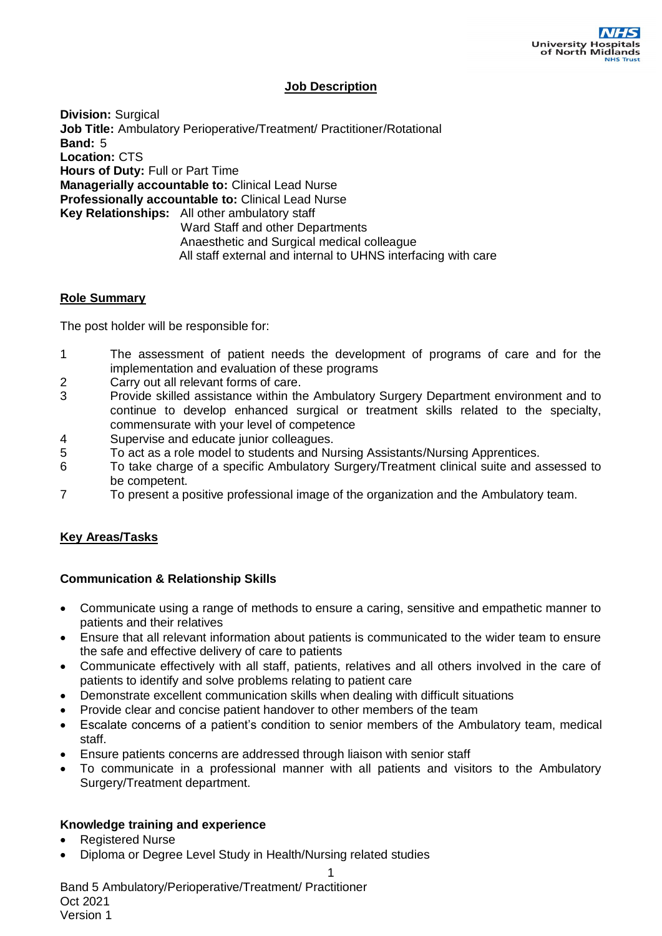## **Job Description**

**Division:** Surgical **Job Title:** Ambulatory Perioperative/Treatment/ Practitioner/Rotational **Band:** 5 **Location:** CTS **Hours of Duty:** Full or Part Time **Managerially accountable to:** Clinical Lead Nurse **Professionally accountable to:** Clinical Lead Nurse **Key Relationships:** All other ambulatory staff Ward Staff and other Departments Anaesthetic and Surgical medical colleague All staff external and internal to UHNS interfacing with care

## **Role Summary**

The post holder will be responsible for:

- 1 The assessment of patient needs the development of programs of care and for the implementation and evaluation of these programs
- 2 Carry out all relevant forms of care.
- 3 Provide skilled assistance within the Ambulatory Surgery Department environment and to continue to develop enhanced surgical or treatment skills related to the specialty, commensurate with your level of competence
- 4 Supervise and educate junior colleagues.
- 5 To act as a role model to students and Nursing Assistants/Nursing Apprentices.
- 6 To take charge of a specific Ambulatory Surgery/Treatment clinical suite and assessed to be competent.
- 7 To present a positive professional image of the organization and the Ambulatory team.

## **Key Areas/Tasks**

## **Communication & Relationship Skills**

- Communicate using a range of methods to ensure a caring, sensitive and empathetic manner to patients and their relatives
- Ensure that all relevant information about patients is communicated to the wider team to ensure the safe and effective delivery of care to patients
- Communicate effectively with all staff, patients, relatives and all others involved in the care of patients to identify and solve problems relating to patient care
- Demonstrate excellent communication skills when dealing with difficult situations
- Provide clear and concise patient handover to other members of the team
- Escalate concerns of a patient's condition to senior members of the Ambulatory team, medical staff.
- Ensure patients concerns are addressed through liaison with senior staff
- To communicate in a professional manner with all patients and visitors to the Ambulatory Surgery/Treatment department.

1

## **Knowledge training and experience**

- Registered Nurse
- Diploma or Degree Level Study in Health/Nursing related studies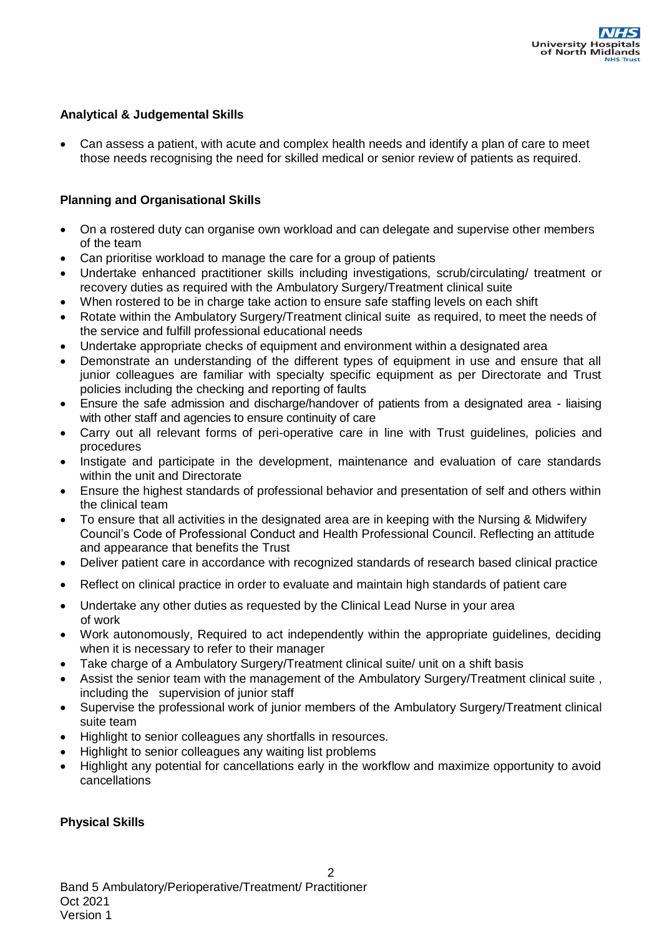## **Analytical & Judgemental Skills**

 Can assess a patient, with acute and complex health needs and identify a plan of care to meet those needs recognising the need for skilled medical or senior review of patients as required.

## **Planning and Organisational Skills**

- On a rostered duty can organise own workload and can delegate and supervise other members of the team
- Can prioritise workload to manage the care for a group of patients
- Undertake enhanced practitioner skills including investigations, scrub/circulating/ treatment or recovery duties as required with the Ambulatory Surgery/Treatment clinical suite
- When rostered to be in charge take action to ensure safe staffing levels on each shift
- Rotate within the Ambulatory Surgery/Treatment clinical suite as required, to meet the needs of the service and fulfill professional educational needs
- Undertake appropriate checks of equipment and environment within a designated area
- Demonstrate an understanding of the different types of equipment in use and ensure that all junior colleagues are familiar with specialty specific equipment as per Directorate and Trust policies including the checking and reporting of faults
- Ensure the safe admission and discharge/handover of patients from a designated area liaising with other staff and agencies to ensure continuity of care
- Carry out all relevant forms of peri-operative care in line with Trust guidelines, policies and procedures
- Instigate and participate in the development, maintenance and evaluation of care standards within the unit and Directorate
- Ensure the highest standards of professional behavior and presentation of self and others within the clinical team
- To ensure that all activities in the designated area are in keeping with the Nursing & Midwifery Council's Code of Professional Conduct and Health Professional Council. Reflecting an attitude and appearance that benefits the Trust
- Deliver patient care in accordance with recognized standards of research based clinical practice
- Reflect on clinical practice in order to evaluate and maintain high standards of patient care
- Undertake any other duties as requested by the Clinical Lead Nurse in your area of work
- Work autonomously, Required to act independently within the appropriate guidelines, deciding when it is necessary to refer to their manager
- Take charge of a Ambulatory Surgery/Treatment clinical suite/ unit on a shift basis
- Assist the senior team with the management of the Ambulatory Surgery/Treatment clinical suite , including the supervision of junior staff
- Supervise the professional work of junior members of the Ambulatory Surgery/Treatment clinical suite team
- Highlight to senior colleagues any shortfalls in resources.
- Highlight to senior colleagues any waiting list problems
- Highlight any potential for cancellations early in the workflow and maximize opportunity to avoid cancellations

## **Physical Skills**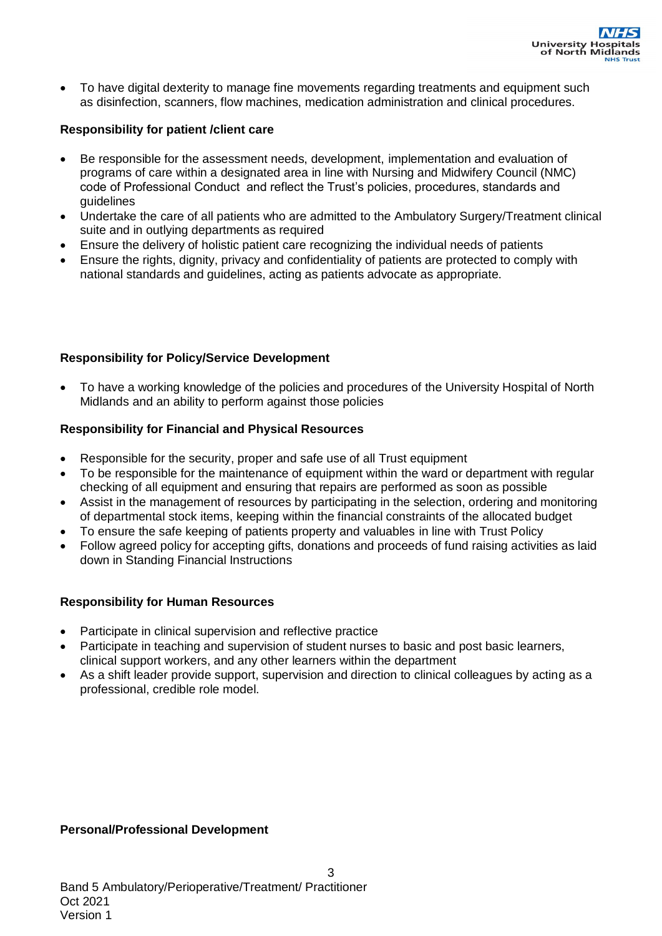To have digital dexterity to manage fine movements regarding treatments and equipment such as disinfection, scanners, flow machines, medication administration and clinical procedures.

## **Responsibility for patient /client care**

- Be responsible for the assessment needs, development, implementation and evaluation of programs of care within a designated area in line with Nursing and Midwifery Council (NMC) code of Professional Conduct and reflect the Trust's policies, procedures, standards and guidelines
- Undertake the care of all patients who are admitted to the Ambulatory Surgery/Treatment clinical suite and in outlying departments as required
- Ensure the delivery of holistic patient care recognizing the individual needs of patients
- Ensure the rights, dignity, privacy and confidentiality of patients are protected to comply with national standards and guidelines, acting as patients advocate as appropriate.

## **Responsibility for Policy/Service Development**

 To have a working knowledge of the policies and procedures of the University Hospital of North Midlands and an ability to perform against those policies

## **Responsibility for Financial and Physical Resources**

- Responsible for the security, proper and safe use of all Trust equipment
- To be responsible for the maintenance of equipment within the ward or department with regular checking of all equipment and ensuring that repairs are performed as soon as possible
- Assist in the management of resources by participating in the selection, ordering and monitoring of departmental stock items, keeping within the financial constraints of the allocated budget
- To ensure the safe keeping of patients property and valuables in line with Trust Policy
- Follow agreed policy for accepting gifts, donations and proceeds of fund raising activities as laid down in Standing Financial Instructions

## **Responsibility for Human Resources**

- Participate in clinical supervision and reflective practice
- Participate in teaching and supervision of student nurses to basic and post basic learners, clinical support workers, and any other learners within the department
- As a shift leader provide support, supervision and direction to clinical colleagues by acting as a professional, credible role model.

## **Personal/Professional Development**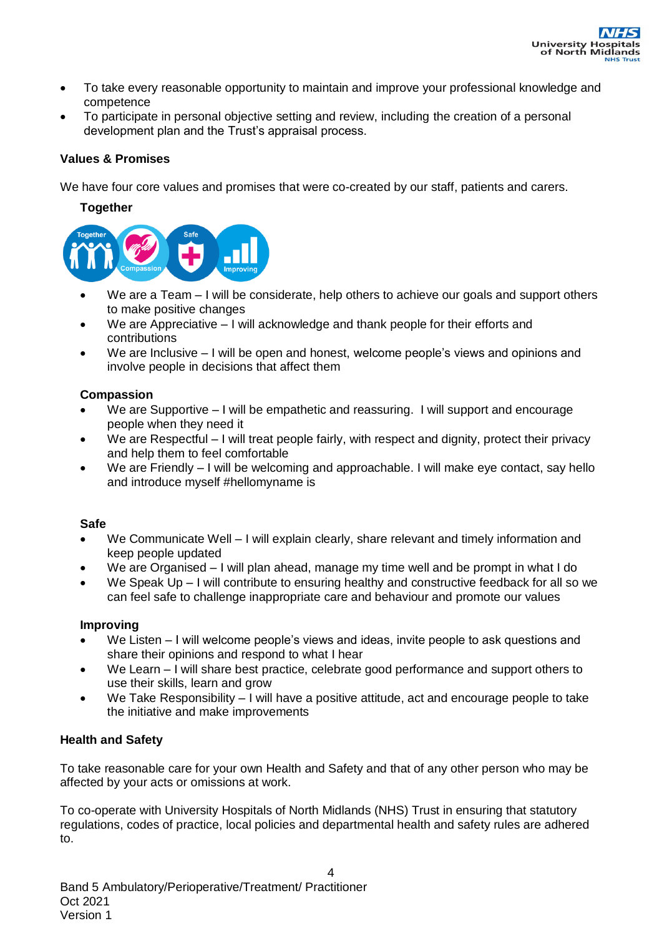

- To take every reasonable opportunity to maintain and improve your professional knowledge and competence
- To participate in personal objective setting and review, including the creation of a personal development plan and the Trust's appraisal process.

### **Values & Promises**

We have four core values and promises that were co-created by our staff, patients and carers.

#### **Together**



- We are a Team I will be considerate, help others to achieve our goals and support others to make positive changes
- We are Appreciative I will acknowledge and thank people for their efforts and contributions
- We are Inclusive I will be open and honest, welcome people's views and opinions and involve people in decisions that affect them

### **Compassion**

- We are Supportive I will be empathetic and reassuring. I will support and encourage people when they need it
- We are Respectful I will treat people fairly, with respect and dignity, protect their privacy and help them to feel comfortable
- We are Friendly I will be welcoming and approachable. I will make eye contact, say hello and introduce myself #hellomyname is

#### **Safe**

- We Communicate Well I will explain clearly, share relevant and timely information and keep people updated
- We are Organised I will plan ahead, manage my time well and be prompt in what I do
- We Speak Up I will contribute to ensuring healthy and constructive feedback for all so we can feel safe to challenge inappropriate care and behaviour and promote our values

#### **Improving**

- We Listen I will welcome people's views and ideas, invite people to ask questions and share their opinions and respond to what I hear
- We Learn I will share best practice, celebrate good performance and support others to use their skills, learn and grow
- We Take Responsibility I will have a positive attitude, act and encourage people to take the initiative and make improvements

## **Health and Safety**

To take reasonable care for your own Health and Safety and that of any other person who may be affected by your acts or omissions at work.

To co-operate with University Hospitals of North Midlands (NHS) Trust in ensuring that statutory regulations, codes of practice, local policies and departmental health and safety rules are adhered to.

4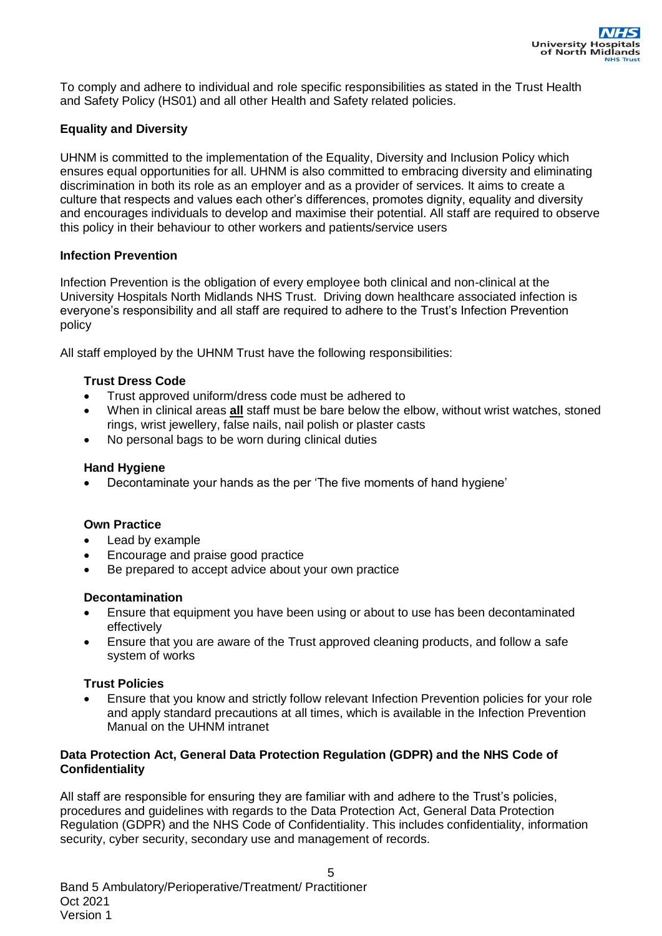To comply and adhere to individual and role specific responsibilities as stated in the Trust Health and Safety Policy (HS01) and all other Health and Safety related policies.

## **Equality and Diversity**

UHNM is committed to the implementation of the Equality, Diversity and Inclusion Policy which ensures equal opportunities for all. UHNM is also committed to embracing diversity and eliminating discrimination in both its role as an employer and as a provider of services. It aims to create a culture that respects and values each other's differences, promotes dignity, equality and diversity and encourages individuals to develop and maximise their potential. All staff are required to observe this policy in their behaviour to other workers and patients/service users

## **Infection Prevention**

Infection Prevention is the obligation of every employee both clinical and non-clinical at the University Hospitals North Midlands NHS Trust. Driving down healthcare associated infection is everyone's responsibility and all staff are required to adhere to the Trust's Infection Prevention policy

All staff employed by the UHNM Trust have the following responsibilities:

## **Trust Dress Code**

- Trust approved uniform/dress code must be adhered to
- When in clinical areas **all** staff must be bare below the elbow, without wrist watches, stoned rings, wrist jewellery, false nails, nail polish or plaster casts
- No personal bags to be worn during clinical duties

### **Hand Hygiene**

Decontaminate your hands as the per 'The five moments of hand hygiene'

#### **Own Practice**

- Lead by example
- Encourage and praise good practice
- Be prepared to accept advice about your own practice

#### **Decontamination**

- Ensure that equipment you have been using or about to use has been decontaminated effectively
- Ensure that you are aware of the Trust approved cleaning products, and follow a safe system of works

#### **Trust Policies**

 Ensure that you know and strictly follow relevant Infection Prevention policies for your role and apply standard precautions at all times, which is available in the Infection Prevention Manual on the UHNM intranet

## **Data Protection Act, General Data Protection Regulation (GDPR) and the NHS Code of Confidentiality**

All staff are responsible for ensuring they are familiar with and adhere to the Trust's policies, procedures and guidelines with regards to the Data Protection Act, General Data Protection Regulation (GDPR) and the NHS Code of Confidentiality. This includes confidentiality, information security, cyber security, secondary use and management of records.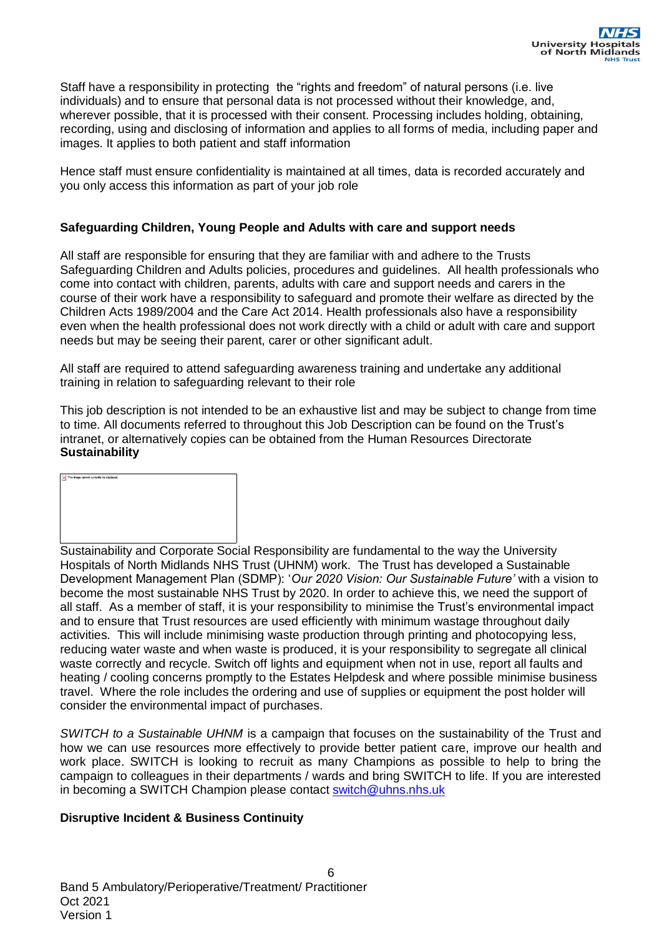Staff have a responsibility in protecting the "rights and freedom" of natural persons (i.e. live individuals) and to ensure that personal data is not processed without their knowledge, and, wherever possible, that it is processed with their consent. Processing includes holding, obtaining, recording, using and disclosing of information and applies to all forms of media, including paper and images. It applies to both patient and staff information

Hence staff must ensure confidentiality is maintained at all times, data is recorded accurately and you only access this information as part of your job role

## **Safeguarding Children, Young People and Adults with care and support needs**

All staff are responsible for ensuring that they are familiar with and adhere to the Trusts Safeguarding Children and Adults policies, procedures and guidelines. All health professionals who come into contact with children, parents, adults with care and support needs and carers in the course of their work have a responsibility to safeguard and promote their welfare as directed by the Children Acts 1989/2004 and the Care Act 2014. Health professionals also have a responsibility even when the health professional does not work directly with a child or adult with care and support needs but may be seeing their parent, carer or other significant adult.

All staff are required to attend safeguarding awareness training and undertake any additional training in relation to safeguarding relevant to their role

This job description is not intended to be an exhaustive list and may be subject to change from time to time. All documents referred to throughout this Job Description can be found on the Trust's intranet, or alternatively copies can be obtained from the Human Resources Directorate **Sustainability**



Sustainability and Corporate Social Responsibility are fundamental to the way the University Hospitals of North Midlands NHS Trust (UHNM) work. The Trust has developed a Sustainable Development Management Plan (SDMP): '*Our 2020 Vision: Our Sustainable Future'* with a vision to become the most sustainable NHS Trust by 2020. In order to achieve this, we need the support of all staff. As a member of staff, it is your responsibility to minimise the Trust's environmental impact and to ensure that Trust resources are used efficiently with minimum wastage throughout daily activities. This will include minimising waste production through printing and photocopying less, reducing water waste and when waste is produced, it is your responsibility to segregate all clinical waste correctly and recycle. Switch off lights and equipment when not in use, report all faults and heating / cooling concerns promptly to the Estates Helpdesk and where possible minimise business travel. Where the role includes the ordering and use of supplies or equipment the post holder will consider the environmental impact of purchases.

*SWITCH to a Sustainable UHNM* is a campaign that focuses on the sustainability of the Trust and how we can use resources more effectively to provide better patient care, improve our health and work place. SWITCH is looking to recruit as many Champions as possible to help to bring the campaign to colleagues in their departments / wards and bring SWITCH to life. If you are interested in becoming a SWITCH Champion please contact [switch@uhns.nhs.uk](mailto:switch@uhns.nhs.uk)

## **Disruptive Incident & Business Continuity**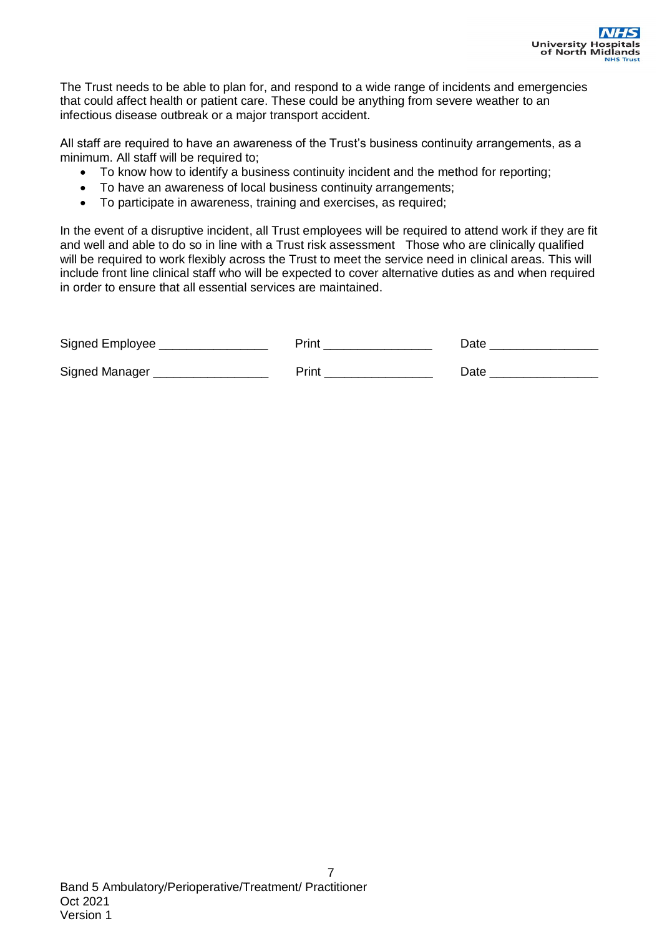

The Trust needs to be able to plan for, and respond to a wide range of incidents and emergencies that could affect health or patient care. These could be anything from severe weather to an infectious disease outbreak or a major transport accident.

All staff are required to have an awareness of the Trust's business continuity arrangements, as a minimum. All staff will be required to;

- To know how to identify a business continuity incident and the method for reporting;
- To have an awareness of local business continuity arrangements;
- To participate in awareness, training and exercises, as required;

In the event of a disruptive incident, all Trust employees will be required to attend work if they are fit and well and able to do so in line with a Trust risk assessment Those who are clinically qualified will be required to work flexibly across the Trust to meet the service need in clinical areas. This will include front line clinical staff who will be expected to cover alternative duties as and when required in order to ensure that all essential services are maintained.

| Signed Employee | Print | Date |
|-----------------|-------|------|
| Signed Manager  | Print | Date |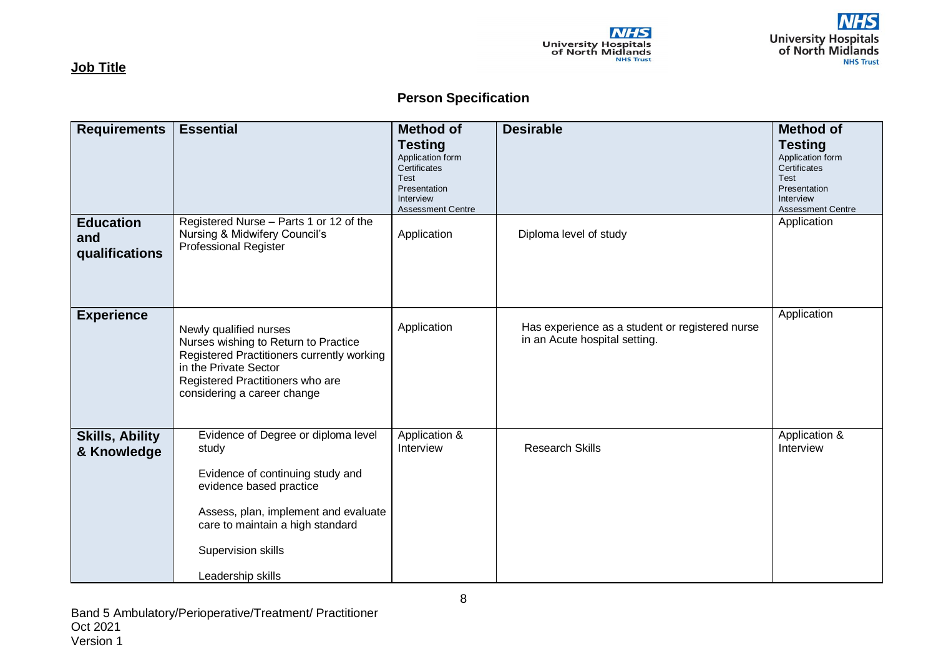

**Job Title**

# **Person Specification**

**NHS** 

University Hospitals<br>of North Midlands

| <b>Requirements</b>                       | <b>Essential</b>                                                                                                                                                                                                                   | <b>Method of</b>                                                                        | <b>Desirable</b>                                                                 | <b>Method of</b>                                                                        |
|-------------------------------------------|------------------------------------------------------------------------------------------------------------------------------------------------------------------------------------------------------------------------------------|-----------------------------------------------------------------------------------------|----------------------------------------------------------------------------------|-----------------------------------------------------------------------------------------|
|                                           |                                                                                                                                                                                                                                    | <b>Testing</b><br>Application form<br>Certificates<br>Test<br>Presentation<br>Interview |                                                                                  | <b>Testing</b><br>Application form<br>Certificates<br>Test<br>Presentation<br>Interview |
| <b>Education</b><br>and<br>qualifications | Registered Nurse - Parts 1 or 12 of the<br>Nursing & Midwifery Council's<br><b>Professional Register</b>                                                                                                                           | <b>Assessment Centre</b><br>Application                                                 | Diploma level of study                                                           | <b>Assessment Centre</b><br>Application                                                 |
| <b>Experience</b>                         | Newly qualified nurses<br>Nurses wishing to Return to Practice<br>Registered Practitioners currently working<br>in the Private Sector<br>Registered Practitioners who are<br>considering a career change                           | Application                                                                             | Has experience as a student or registered nurse<br>in an Acute hospital setting. | Application                                                                             |
| <b>Skills, Ability</b><br>& Knowledge     | Evidence of Degree or diploma level<br>study<br>Evidence of continuing study and<br>evidence based practice<br>Assess, plan, implement and evaluate<br>care to maintain a high standard<br>Supervision skills<br>Leadership skills | Application &<br>Interview                                                              | <b>Research Skills</b>                                                           | Application &<br>Interview                                                              |